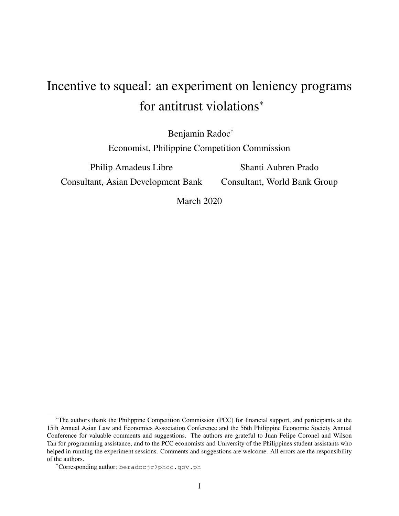# Incentive to squeal: an experiment on leniency programs for antitrust violations<sup>\*</sup>

Benjamin Radoc†

Economist, Philippine Competition Commission

Philip Amadeus Libre Consultant, Asian Development Bank

Shanti Aubren Prado Consultant, World Bank Group

March 2020

<sup>∗</sup>The authors thank the Philippine Competition Commission (PCC) for financial support, and participants at the 15th Annual Asian Law and Economics Association Conference and the 56th Philippine Economic Society Annual Conference for valuable comments and suggestions. The authors are grateful to Juan Felipe Coronel and Wilson Tan for programming assistance, and to the PCC economists and University of the Philippines student assistants who helped in running the experiment sessions. Comments and suggestions are welcome. All errors are the responsibility of the authors.

<sup>†</sup>Corresponding author: beradocjr@phcc.gov.ph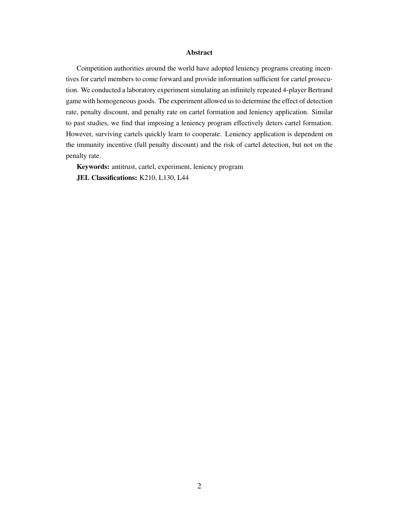#### Abstract

Competition authorities around the world have adopted leniency programs creating incentives for cartel members to come forward and provide information sufficient for cartel prosecution. We conducted a laboratory experiment simulating an infinitely repeated 4-player Bertrand game with homogeneous goods. The experiment allowed us to determine the effect of detection rate, penalty discount, and penalty rate on cartel formation and leniency application. Similar to past studies, we find that imposing a leniency program effectively deters cartel formation. However, surviving cartels quickly learn to cooperate. Leniency application is dependent on the immunity incentive (full penalty discount) and the risk of cartel detection, but not on the penalty rate.

Keywords: antitrust, cartel, experiment, leniency program JEL Classifications: K210, L130, L44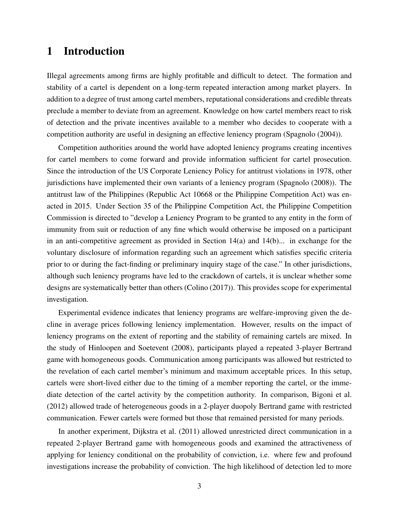# 1 Introduction

Illegal agreements among firms are highly profitable and difficult to detect. The formation and stability of a cartel is dependent on a long-term repeated interaction among market players. In addition to a degree of trust among cartel members, reputational considerations and credible threats preclude a member to deviate from an agreement. Knowledge on how cartel members react to risk of detection and the private incentives available to a member who decides to cooperate with a competition authority are useful in designing an effective leniency program (Spagnolo (2004)).

Competition authorities around the world have adopted leniency programs creating incentives for cartel members to come forward and provide information sufficient for cartel prosecution. Since the introduction of the US Corporate Leniency Policy for antitrust violations in 1978, other jurisdictions have implemented their own variants of a leniency program (Spagnolo (2008)). The antitrust law of the Philippines (Republic Act 10668 or the Philippine Competition Act) was enacted in 2015. Under Section 35 of the Philippine Competition Act, the Philippine Competition Commission is directed to "develop a Leniency Program to be granted to any entity in the form of immunity from suit or reduction of any fine which would otherwise be imposed on a participant in an anti-competitive agreement as provided in Section  $14(a)$  and  $14(b)$ ... in exchange for the voluntary disclosure of information regarding such an agreement which satisfies specific criteria prior to or during the fact-finding or preliminary inquiry stage of the case." In other jurisdictions, although such leniency programs have led to the crackdown of cartels, it is unclear whether some designs are systematically better than others (Colino (2017)). This provides scope for experimental investigation.

Experimental evidence indicates that leniency programs are welfare-improving given the decline in average prices following leniency implementation. However, results on the impact of leniency programs on the extent of reporting and the stability of remaining cartels are mixed. In the study of Hinloopen and Soetevent (2008), participants played a repeated 3-player Bertrand game with homogeneous goods. Communication among participants was allowed but restricted to the revelation of each cartel member's minimum and maximum acceptable prices. In this setup, cartels were short-lived either due to the timing of a member reporting the cartel, or the immediate detection of the cartel activity by the competition authority. In comparison, Bigoni et al. (2012) allowed trade of heterogeneous goods in a 2-player duopoly Bertrand game with restricted communication. Fewer cartels were formed but those that remained persisted for many periods.

In another experiment, Dijkstra et al. (2011) allowed unrestricted direct communication in a repeated 2-player Bertrand game with homogeneous goods and examined the attractiveness of applying for leniency conditional on the probability of conviction, i.e. where few and profound investigations increase the probability of conviction. The high likelihood of detection led to more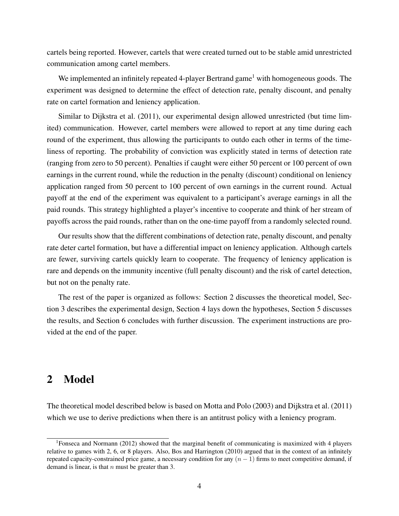cartels being reported. However, cartels that were created turned out to be stable amid unrestricted communication among cartel members.

We implemented an infinitely repeated 4-player Bertrand game<sup>1</sup> with homogeneous goods. The experiment was designed to determine the effect of detection rate, penalty discount, and penalty rate on cartel formation and leniency application.

Similar to Dijkstra et al. (2011), our experimental design allowed unrestricted (but time limited) communication. However, cartel members were allowed to report at any time during each round of the experiment, thus allowing the participants to outdo each other in terms of the timeliness of reporting. The probability of conviction was explicitly stated in terms of detection rate (ranging from zero to 50 percent). Penalties if caught were either 50 percent or 100 percent of own earnings in the current round, while the reduction in the penalty (discount) conditional on leniency application ranged from 50 percent to 100 percent of own earnings in the current round. Actual payoff at the end of the experiment was equivalent to a participant's average earnings in all the paid rounds. This strategy highlighted a player's incentive to cooperate and think of her stream of payoffs across the paid rounds, rather than on the one-time payoff from a randomly selected round.

Our results show that the different combinations of detection rate, penalty discount, and penalty rate deter cartel formation, but have a differential impact on leniency application. Although cartels are fewer, surviving cartels quickly learn to cooperate. The frequency of leniency application is rare and depends on the immunity incentive (full penalty discount) and the risk of cartel detection, but not on the penalty rate.

The rest of the paper is organized as follows: Section 2 discusses the theoretical model, Section 3 describes the experimental design, Section 4 lays down the hypotheses, Section 5 discusses the results, and Section 6 concludes with further discussion. The experiment instructions are provided at the end of the paper.

# 2 Model

The theoretical model described below is based on Motta and Polo (2003) and Dijkstra et al. (2011) which we use to derive predictions when there is an antitrust policy with a leniency program.

<sup>&</sup>lt;sup>1</sup>Fonseca and Normann (2012) showed that the marginal benefit of communicating is maximized with 4 players relative to games with 2, 6, or 8 players. Also, Bos and Harrington (2010) argued that in the context of an infinitely repeated capacity-constrained price game, a necessary condition for any  $(n - 1)$  firms to meet competitive demand, if demand is linear, is that  $n$  must be greater than 3.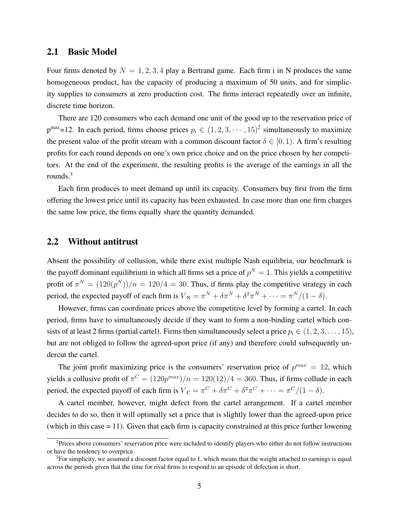### 2.1 Basic Model

Four firms denoted by  $N = 1, 2, 3, 4$  play a Bertrand game. Each firm i in N produces the same homogeneous product, has the capacity of producing a maximum of 50 units, and for simplicity supplies to consumers at zero production cost. The firms interact repeatedly over an infinite, discrete time horizon.

There are 120 consumers who each demand one unit of the good up to the reservation price of  $p^{max}=12$ . In each period, firms choose prices  $p_i \in (1, 2, 3, \dots, 15)^2$  simultaneously to maximize the present value of the profit stream with a common discount factor  $\delta \in [0, 1)$ . A firm's resulting profits for each round depends on one's own price choice and on the price chosen by her competitors. At the end of the experiment, the resulting profits is the average of the earnings in all the rounds.<sup>3</sup>

Each firm produces to meet demand up until its capacity. Consumers buy first from the firm offering the lowest price until its capacity has been exhausted. In case more than one firm charges the same low price, the firms equally share the quantity demanded.

### 2.2 Without antitrust

Absent the possibility of collusion, while there exist multiple Nash equilibria, our benchmark is the payoff dominant equilibrium in which all firms set a price of  $p^N = 1$ . This yields a competitive profit of  $\pi^N = (120(p^N))/n = 120/4 = 30$ . Thus, if firms play the competitive strategy in each period, the expected payoff of each firm is  $V_N = \pi^N + \delta \pi^N + \delta^2 \pi^N + \cdots = \pi^N/(1 - \delta)$ .

However, firms can coordinate prices above the competitive level by forming a cartel. In each period, firms have to simultaneously decide if they want to form a non-binding cartel which consists of at least 2 firms (partial cartel). Firms then simultaneously select a price  $p_i \in (1, 2, 3, \ldots, 15)$ , but are not obliged to follow the agreed-upon price (if any) and therefore could subsequently undercut the cartel.

The joint profit maximizing price is the consumers' reservation price of  $p^{max} = 12$ , which yields a collusive profit of  $\pi^C = (120p^{max})/n = 120(12)/4 = 360$ . Thus, if firms collude in each period, the expected payoff of each firm is  $V_C = \pi^C + \delta \pi^C + \delta^2 \pi^C + \cdots = \pi^C/(1-\delta)$ .

A cartel member, however, might defect from the cartel arrangement. If a cartel member decides to do so, then it will optimally set a price that is slightly lower than the agreed-upon price (which in this case = 11). Given that each firm is capacity constrained at this price further lowering

<sup>&</sup>lt;sup>2</sup>Prices above consumers' reservation price were included to identify players who either do not follow instructions or have the tendency to overprice.

 $3$ For simplicity, we assumed a discount factor equal to 1, which means that the weight attached to earnings is equal across the periods given that the time for rival firms to respond to an episode of defection is short.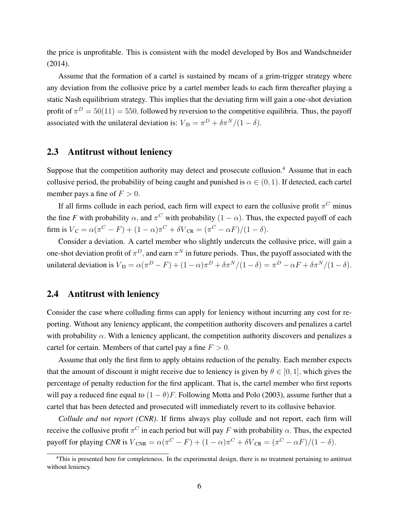the price is unprofitable. This is consistent with the model developed by Bos and Wandschneider (2014).

Assume that the formation of a cartel is sustained by means of a grim-trigger strategy where any deviation from the collusive price by a cartel member leads to each firm thereafter playing a static Nash equilibrium strategy. This implies that the deviating firm will gain a one-shot deviation profit of  $\pi^D = 50(11) = 550$ , followed by reversion to the competitive equilibria. Thus, the payoff associated with the unilateral deviation is:  $V_D = \pi^D + \delta \pi^N/(1 - \delta)$ .

### 2.3 Antitrust without leniency

Suppose that the competition authority may detect and prosecute collusion.<sup>4</sup> Assume that in each collusive period, the probability of being caught and punished is  $\alpha \in (0, 1)$ . If detected, each cartel member pays a fine of  $F > 0$ .

If all firms collude in each period, each firm will expect to earn the collusive profit  $\pi$ <sup>C</sup> minus the fine *F* with probability  $\alpha$ , and  $\pi^C$  with probability  $(1 - \alpha)$ . Thus, the expected payoff of each firm is  $V_C = \alpha(\pi^C - F) + (1 - \alpha)\pi^C + \delta V_{CR} = (\pi^C - \alpha F)/(1 - \delta).$ 

Consider a deviation. A cartel member who slightly undercuts the collusive price, will gain a one-shot deviation profit of  $\pi^D$ , and earn  $\pi^N$  in future periods. Thus, the payoff associated with the unilateral deviation is  $V_D = \alpha(\pi^D - F) + (1 - \alpha)\pi^D + \delta \pi^N/(1 - \delta) = \pi^D - \alpha F + \delta \pi^N/(1 - \delta)$ .

### 2.4 Antitrust with leniency

Consider the case where colluding firms can apply for leniency without incurring any cost for reporting. Without any leniency applicant, the competition authority discovers and penalizes a cartel with probability  $\alpha$ . With a leniency applicant, the competition authority discovers and penalizes a cartel for certain. Members of that cartel pay a fine  $F > 0$ .

Assume that only the first firm to apply obtains reduction of the penalty. Each member expects that the amount of discount it might receive due to leniency is given by  $\theta \in [0, 1]$ , which gives the percentage of penalty reduction for the first applicant. That is, the cartel member who first reports will pay a reduced fine equal to  $(1 - \theta)F$ . Following Motta and Polo (2003), assume further that a cartel that has been detected and prosecuted will immediately revert to its collusive behavior.

*Collude and not report (CNR)*. If firms always play collude and not report, each firm will receive the collusive profit  $\pi^C$  in each period but will pay F with probability  $\alpha$ . Thus, the expected payoff for playing *CNR* is  $V_{\text{CNR}} = \alpha(\pi^C - F) + (1 - \alpha)\pi^C + \delta V_{\text{CR}} = (\pi^C - \alpha F)/(1 - \delta)$ .

<sup>&</sup>lt;sup>4</sup>This is presented here for completeness. In the experimental design, there is no treatment pertaining to antitrust without leniency.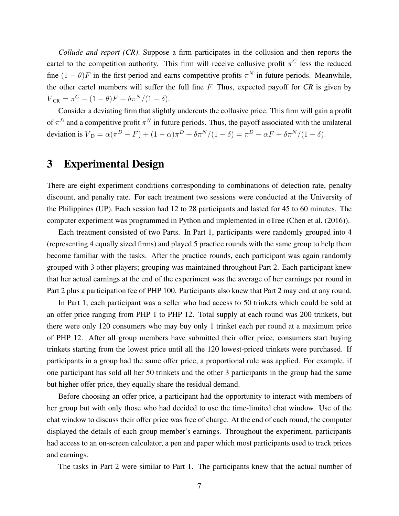*Collude and report (CR)*. Suppose a firm participates in the collusion and then reports the cartel to the competition authority. This firm will receive collusive profit  $\pi$ <sup>C</sup> less the reduced fine  $(1 - \theta)F$  in the first period and earns competitive profits  $\pi^N$  in future periods. Meanwhile, the other cartel members will suffer the full fine F. Thus, expected payoff for *CR* is given by  $V_{CR} = \pi^C - (1 - \theta)F + \delta \pi^N / (1 - \delta).$ 

Consider a deviating firm that slightly undercuts the collusive price. This firm will gain a profit of  $\pi^D$  and a competitive profit  $\pi^N$  in future periods. Thus, the payoff associated with the unilateral deviation is  $V_D = \alpha(\pi^D - F) + (1 - \alpha)\pi^D + \delta \pi^N/(1 - \delta) = \pi^D - \alpha F + \delta \pi^N/(1 - \delta)$ .

# 3 Experimental Design

There are eight experiment conditions corresponding to combinations of detection rate, penalty discount, and penalty rate. For each treatment two sessions were conducted at the University of the Philippines (UP). Each session had 12 to 28 participants and lasted for 45 to 60 minutes. The computer experiment was programmed in Python and implemented in oTree (Chen et al. (2016)).

Each treatment consisted of two Parts. In Part 1, participants were randomly grouped into 4 (representing 4 equally sized firms) and played 5 practice rounds with the same group to help them become familiar with the tasks. After the practice rounds, each participant was again randomly grouped with 3 other players; grouping was maintained throughout Part 2. Each participant knew that her actual earnings at the end of the experiment was the average of her earnings per round in Part 2 plus a participation fee of PHP 100. Participants also knew that Part 2 may end at any round.

In Part 1, each participant was a seller who had access to 50 trinkets which could be sold at an offer price ranging from PHP 1 to PHP 12. Total supply at each round was 200 trinkets, but there were only 120 consumers who may buy only 1 trinket each per round at a maximum price of PHP 12. After all group members have submitted their offer price, consumers start buying trinkets starting from the lowest price until all the 120 lowest-priced trinkets were purchased. If participants in a group had the same offer price, a proportional rule was applied. For example, if one participant has sold all her 50 trinkets and the other 3 participants in the group had the same but higher offer price, they equally share the residual demand.

Before choosing an offer price, a participant had the opportunity to interact with members of her group but with only those who had decided to use the time-limited chat window. Use of the chat window to discuss their offer price was free of charge. At the end of each round, the computer displayed the details of each group member's earnings. Throughout the experiment, participants had access to an on-screen calculator, a pen and paper which most participants used to track prices and earnings.

The tasks in Part 2 were similar to Part 1. The participants knew that the actual number of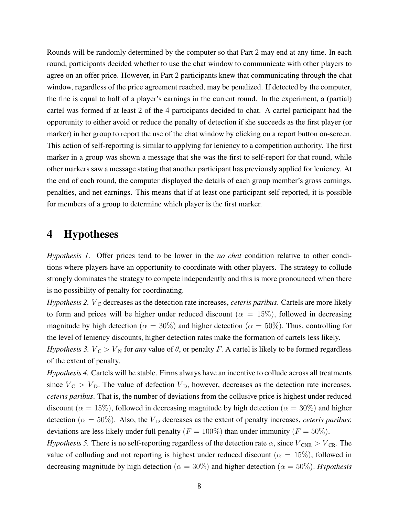Rounds will be randomly determined by the computer so that Part 2 may end at any time. In each round, participants decided whether to use the chat window to communicate with other players to agree on an offer price. However, in Part 2 participants knew that communicating through the chat window, regardless of the price agreement reached, may be penalized. If detected by the computer, the fine is equal to half of a player's earnings in the current round. In the experiment, a (partial) cartel was formed if at least 2 of the 4 participants decided to chat. A cartel participant had the opportunity to either avoid or reduce the penalty of detection if she succeeds as the first player (or marker) in her group to report the use of the chat window by clicking on a report button on-screen. This action of self-reporting is similar to applying for leniency to a competition authority. The first marker in a group was shown a message that she was the first to self-report for that round, while other markers saw a message stating that another participant has previously applied for leniency. At the end of each round, the computer displayed the details of each group member's gross earnings, penalties, and net earnings. This means that if at least one participant self-reported, it is possible for members of a group to determine which player is the first marker.

# 4 Hypotheses

*Hypothesis 1.* Offer prices tend to be lower in the *no chat* condition relative to other conditions where players have an opportunity to coordinate with other players. The strategy to collude strongly dominates the strategy to compete independently and this is more pronounced when there is no possibility of penalty for coordinating.

*Hypothesis 2. V<sub>C</sub>* decreases as the detection rate increases, *ceteris paribus*. Cartels are more likely to form and prices will be higher under reduced discount ( $\alpha = 15\%$ ), followed in decreasing magnitude by high detection ( $\alpha = 30\%$ ) and higher detection ( $\alpha = 50\%$ ). Thus, controlling for the level of leniency discounts, higher detection rates make the formation of cartels less likely. *Hypothesis 3.*  $V_C > V_N$  for *any* value of  $\theta$ , or penalty F. A cartel is likely to be formed regardless of the extent of penalty.

*Hypothesis 4.* Cartels will be stable. Firms always have an incentive to collude across all treatments since  $V_C > V_D$ . The value of defection  $V_D$ , however, decreases as the detection rate increases, *ceteris paribus*. That is, the number of deviations from the collusive price is highest under reduced discount ( $\alpha = 15\%$ ), followed in decreasing magnitude by high detection ( $\alpha = 30\%$ ) and higher detection ( $\alpha = 50\%$ ). Also, the  $V<sub>D</sub>$  decreases as the extent of penalty increases, *ceteris paribus*; deviations are less likely under full penalty ( $F = 100\%$ ) than under immunity ( $F = 50\%$ ).

*Hypothesis 5.* There is no self-reporting regardless of the detection rate  $\alpha$ , since  $V_{\text{CNR}} > V_{\text{CR}}$ . The value of colluding and not reporting is highest under reduced discount ( $\alpha = 15\%$ ), followed in decreasing magnitude by high detection ( $\alpha = 30\%$ ) and higher detection ( $\alpha = 50\%$ ). *Hypothesis*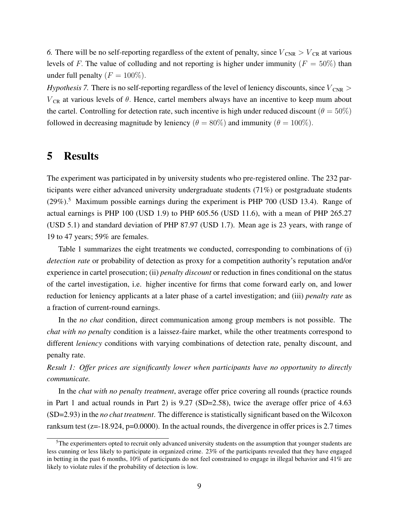6. There will be no self-reporting regardless of the extent of penalty, since  $V_{\text{CNR}} > V_{\text{CR}}$  at various levels of F. The value of colluding and not reporting is higher under immunity ( $F = 50\%$ ) than under full penalty ( $F = 100\%$ ).

*Hypothesis 7.* There is no self-reporting regardless of the level of leniency discounts, since  $V_{\text{CNR}}$  >  $V_{CR}$  at various levels of  $\theta$ . Hence, cartel members always have an incentive to keep mum about the cartel. Controlling for detection rate, such incentive is high under reduced discount ( $\theta = 50\%)$ ) followed in decreasing magnitude by leniency ( $\theta = 80\%$ ) and immunity ( $\theta = 100\%$ ).

# 5 Results

The experiment was participated in by university students who pre-registered online. The 232 participants were either advanced university undergraduate students (71%) or postgraduate students  $(29\%)$ <sup>5</sup> Maximum possible earnings during the experiment is PHP 700 (USD 13.4). Range of actual earnings is PHP 100 (USD 1.9) to PHP 605.56 (USD 11.6), with a mean of PHP 265.27 (USD 5.1) and standard deviation of PHP 87.97 (USD 1.7). Mean age is 23 years, with range of 19 to 47 years; 59% are females.

Table 1 summarizes the eight treatments we conducted, corresponding to combinations of (i) *detection rate* or probability of detection as proxy for a competition authority's reputation and/or experience in cartel prosecution; (ii) *penalty discount* or reduction in fines conditional on the status of the cartel investigation, i.e. higher incentive for firms that come forward early on, and lower reduction for leniency applicants at a later phase of a cartel investigation; and (iii) *penalty rate* as a fraction of current-round earnings.

In the *no chat* condition, direct communication among group members is not possible. The *chat with no penalty* condition is a laissez-faire market, while the other treatments correspond to different *leniency* conditions with varying combinations of detection rate, penalty discount, and penalty rate.

*Result 1: Offer prices are significantly lower when participants have no opportunity to directly communicate.*

In the *chat with no penalty treatment*, average offer price covering all rounds (practice rounds in Part 1 and actual rounds in Part 2) is 9.27 (SD=2.58), twice the average offer price of 4.63 (SD=2.93) in the *no chat treatment*. The difference is statistically significant based on the Wilcoxon ranksum test (z=-18.924, p=0.0000). In the actual rounds, the divergence in offer prices is 2.7 times

<sup>&</sup>lt;sup>5</sup>The experimenters opted to recruit only advanced university students on the assumption that younger students are less cunning or less likely to participate in organized crime. 23% of the participants revealed that they have engaged in betting in the past 6 months, 10% of participants do not feel constrained to engage in illegal behavior and 41% are likely to violate rules if the probability of detection is low.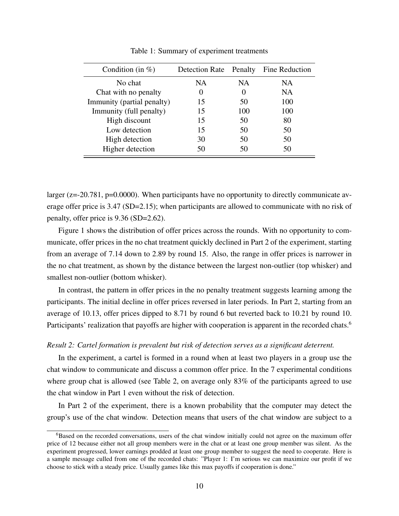| Condition (in $%$ )        | Detection Rate Penalty |          | Fine Reduction |
|----------------------------|------------------------|----------|----------------|
| No chat                    | <b>NA</b>              | NA.      | NA.            |
| Chat with no penalty       | $\theta$               | $\theta$ | NA             |
| Immunity (partial penalty) | 15                     | 50       | 100            |
| Immunity (full penalty)    | 15                     | 100      | 100            |
| High discount              | 15                     | 50       | 80             |
| Low detection              | 15                     | 50       | 50             |
| High detection             | 30                     | 50       | 50             |
| Higher detection           | 50                     | 50       | 50             |

Table 1: Summary of experiment treatments

larger (z=-20.781, p=0.0000). When participants have no opportunity to directly communicate average offer price is 3.47 (SD=2.15); when participants are allowed to communicate with no risk of penalty, offer price is 9.36 (SD=2.62).

Figure 1 shows the distribution of offer prices across the rounds. With no opportunity to communicate, offer prices in the no chat treatment quickly declined in Part 2 of the experiment, starting from an average of 7.14 down to 2.89 by round 15. Also, the range in offer prices is narrower in the no chat treatment, as shown by the distance between the largest non-outlier (top whisker) and smallest non-outlier (bottom whisker).

In contrast, the pattern in offer prices in the no penalty treatment suggests learning among the participants. The initial decline in offer prices reversed in later periods. In Part 2, starting from an average of 10.13, offer prices dipped to 8.71 by round 6 but reverted back to 10.21 by round 10. Participants' realization that payoffs are higher with cooperation is apparent in the recorded chats.<sup>6</sup>

#### *Result 2: Cartel formation is prevalent but risk of detection serves as a significant deterrent.*

In the experiment, a cartel is formed in a round when at least two players in a group use the chat window to communicate and discuss a common offer price. In the 7 experimental conditions where group chat is allowed (see Table 2, on average only 83% of the participants agreed to use the chat window in Part 1 even without the risk of detection.

In Part 2 of the experiment, there is a known probability that the computer may detect the group's use of the chat window. Detection means that users of the chat window are subject to a

<sup>&</sup>lt;sup>6</sup>Based on the recorded conversations, users of the chat window initially could not agree on the maximum offer price of 12 because either not all group members were in the chat or at least one group member was silent. As the experiment progressed, lower earnings prodded at least one group member to suggest the need to cooperate. Here is a sample message culled from one of the recorded chats: "Player 1: I'm serious we can maximize our profit if we choose to stick with a steady price. Usually games like this max payoffs if cooperation is done."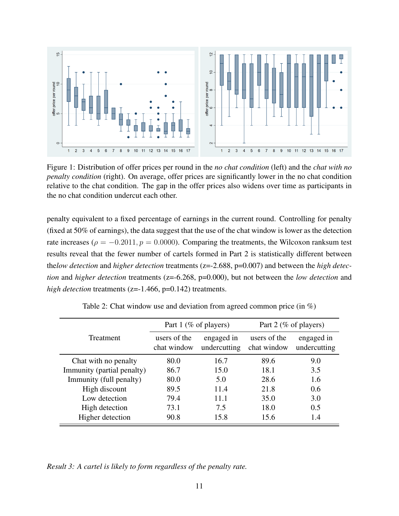

Figure 1: Distribution of offer prices per round in the *no chat condition* (left) and the *chat with no penalty condition* (right). On average, offer prices are significantly lower in the no chat condition relative to the chat condition. The gap in the offer prices also widens over time as participants in the no chat condition undercut each other.

penalty equivalent to a fixed percentage of earnings in the current round. Controlling for penalty (fixed at 50% of earnings), the data suggest that the use of the chat window is lower as the detection rate increases ( $\rho = -0.2011$ ,  $p = 0.0000$ ). Comparing the treatments, the Wilcoxon ranksum test results reveal that the fewer number of cartels formed in Part 2 is statistically different between the*low detection* and *higher detection* treatments (z=-2.688, p=0.007) and between the *high detection* and *higher detection* treatments (z=-6.268, p=0.000), but not between the *low detection* and *high detection* treatments (z=-1.466, p=0.142) treatments.

|                            | Part 1 (% of players)       |                            | Part 2 (% of players)       |                            |
|----------------------------|-----------------------------|----------------------------|-----------------------------|----------------------------|
| Treatment                  | users of the<br>chat window | engaged in<br>undercutting | users of the<br>chat window | engaged in<br>undercutting |
| Chat with no penalty       | 80.0                        | 16.7                       | 89.6                        | 9.0                        |
| Immunity (partial penalty) | 86.7                        | 15.0                       | 18.1                        | 3.5                        |
| Immunity (full penalty)    | 80.0                        | 5.0                        | 28.6                        | 1.6                        |
| High discount              | 89.5                        | 11.4                       | 21.8                        | 0.6                        |
| Low detection              | 79.4                        | 11.1                       | 35.0                        | 3.0                        |
| High detection             | 73.1                        | 7.5                        | 18.0                        | 0.5                        |
| Higher detection           | 90.8                        | 15.8                       | 15.6                        | 1.4                        |

Table 2: Chat window use and deviation from agreed common price (in %)

*Result 3: A cartel is likely to form regardless of the penalty rate.*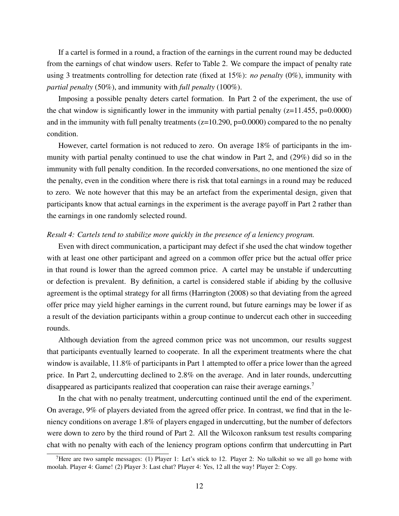If a cartel is formed in a round, a fraction of the earnings in the current round may be deducted from the earnings of chat window users. Refer to Table 2. We compare the impact of penalty rate using 3 treatments controlling for detection rate (fixed at 15%): *no penalty* (0%), immunity with *partial penalty* (50%), and immunity with *full penalty* (100%).

Imposing a possible penalty deters cartel formation. In Part 2 of the experiment, the use of the chat window is significantly lower in the immunity with partial penalty  $(z=11.455, p=0.0000)$ and in the immunity with full penalty treatments  $(z=10.290, p=0.0000)$  compared to the no penalty condition.

However, cartel formation is not reduced to zero. On average 18% of participants in the immunity with partial penalty continued to use the chat window in Part 2, and (29%) did so in the immunity with full penalty condition. In the recorded conversations, no one mentioned the size of the penalty, even in the condition where there is risk that total earnings in a round may be reduced to zero. We note however that this may be an artefact from the experimental design, given that participants know that actual earnings in the experiment is the average payoff in Part 2 rather than the earnings in one randomly selected round.

#### *Result 4: Cartels tend to stabilize more quickly in the presence of a leniency program.*

Even with direct communication, a participant may defect if she used the chat window together with at least one other participant and agreed on a common offer price but the actual offer price in that round is lower than the agreed common price. A cartel may be unstable if undercutting or defection is prevalent. By definition, a cartel is considered stable if abiding by the collusive agreement is the optimal strategy for all firms (Harrington (2008) so that deviating from the agreed offer price may yield higher earnings in the current round, but future earnings may be lower if as a result of the deviation participants within a group continue to undercut each other in succeeding rounds.

Although deviation from the agreed common price was not uncommon, our results suggest that participants eventually learned to cooperate. In all the experiment treatments where the chat window is available, 11.8% of participants in Part 1 attempted to offer a price lower than the agreed price. In Part 2, undercutting declined to 2.8% on the average. And in later rounds, undercutting disappeared as participants realized that cooperation can raise their average earnings.<sup>7</sup>

In the chat with no penalty treatment, undercutting continued until the end of the experiment. On average, 9% of players deviated from the agreed offer price. In contrast, we find that in the leniency conditions on average 1.8% of players engaged in undercutting, but the number of defectors were down to zero by the third round of Part 2. All the Wilcoxon ranksum test results comparing chat with no penalty with each of the leniency program options confirm that undercutting in Part

<sup>&</sup>lt;sup>7</sup>Here are two sample messages: (1) Player 1: Let's stick to 12. Player 2: No talkshit so we all go home with moolah. Player 4: Game! (2) Player 3: Last chat? Player 4: Yes, 12 all the way! Player 2: Copy.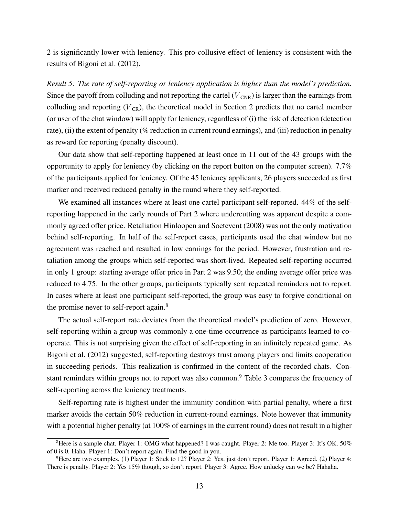2 is significantly lower with leniency. This pro-collusive effect of leniency is consistent with the results of Bigoni et al. (2012).

*Result 5: The rate of self-reporting or leniency application is higher than the model's prediction.* Since the payoff from colluding and not reporting the cartel  $(V_{CNR})$  is larger than the earnings from colluding and reporting  $(V_{CR})$ , the theoretical model in Section 2 predicts that no cartel member (or user of the chat window) will apply for leniency, regardless of (i) the risk of detection (detection rate), (ii) the extent of penalty (% reduction in current round earnings), and (iii) reduction in penalty as reward for reporting (penalty discount).

Our data show that self-reporting happened at least once in 11 out of the 43 groups with the opportunity to apply for leniency (by clicking on the report button on the computer screen). 7.7% of the participants applied for leniency. Of the 45 leniency applicants, 26 players succeeded as first marker and received reduced penalty in the round where they self-reported.

We examined all instances where at least one cartel participant self-reported. 44% of the selfreporting happened in the early rounds of Part 2 where undercutting was apparent despite a commonly agreed offer price. Retaliation Hinloopen and Soetevent (2008) was not the only motivation behind self-reporting. In half of the self-report cases, participants used the chat window but no agreement was reached and resulted in low earnings for the period. However, frustration and retaliation among the groups which self-reported was short-lived. Repeated self-reporting occurred in only 1 group: starting average offer price in Part 2 was 9.50; the ending average offer price was reduced to 4.75. In the other groups, participants typically sent repeated reminders not to report. In cases where at least one participant self-reported, the group was easy to forgive conditional on the promise never to self-report again.<sup>8</sup>

The actual self-report rate deviates from the theoretical model's prediction of zero. However, self-reporting within a group was commonly a one-time occurrence as participants learned to cooperate. This is not surprising given the effect of self-reporting in an infinitely repeated game. As Bigoni et al. (2012) suggested, self-reporting destroys trust among players and limits cooperation in succeeding periods. This realization is confirmed in the content of the recorded chats. Constant reminders within groups not to report was also common.<sup>9</sup> Table 3 compares the frequency of self-reporting across the leniency treatments.

Self-reporting rate is highest under the immunity condition with partial penalty, where a first marker avoids the certain 50% reduction in current-round earnings. Note however that immunity with a potential higher penalty (at 100% of earnings in the current round) does not result in a higher

<sup>&</sup>lt;sup>8</sup>Here is a sample chat. Player 1: OMG what happened? I was caught. Player 2: Me too. Player 3: It's OK. 50% of 0 is 0. Haha. Player 1: Don't report again. Find the good in you.

<sup>&</sup>lt;sup>9</sup>Here are two examples. (1) Player 1: Stick to 12? Player 2: Yes, just don't report. Player 1: Agreed. (2) Player 4: There is penalty. Player 2: Yes 15% though, so don't report. Player 3: Agree. How unlucky can we be? Hahaha.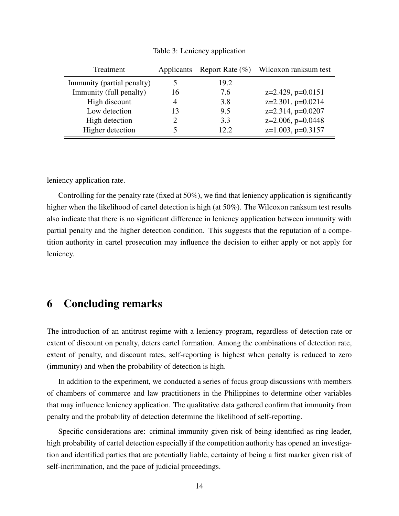| Treatment                  | Applicants     | Report Rate $(\% )$ | Wilcoxon ranksum test  |
|----------------------------|----------------|---------------------|------------------------|
| Immunity (partial penalty) | 5              | 19.2                |                        |
| Immunity (full penalty)    | 16             | 7.6                 | $z=2.429$ , $p=0.0151$ |
| High discount              | $\overline{4}$ | 3.8                 | $z=2.301$ , $p=0.0214$ |
| Low detection              | 13             | 9.5                 | $z=2.314$ , $p=0.0207$ |
| High detection             | 2              | 3.3                 | $z=2.006$ , $p=0.0448$ |
| Higher detection           |                | 12.2                | $z=1.003$ , $p=0.3157$ |

Table 3: Leniency application

leniency application rate.

Controlling for the penalty rate (fixed at 50%), we find that leniency application is significantly higher when the likelihood of cartel detection is high (at 50%). The Wilcoxon ranksum test results also indicate that there is no significant difference in leniency application between immunity with partial penalty and the higher detection condition. This suggests that the reputation of a competition authority in cartel prosecution may influence the decision to either apply or not apply for leniency.

### 6 Concluding remarks

The introduction of an antitrust regime with a leniency program, regardless of detection rate or extent of discount on penalty, deters cartel formation. Among the combinations of detection rate, extent of penalty, and discount rates, self-reporting is highest when penalty is reduced to zero (immunity) and when the probability of detection is high.

In addition to the experiment, we conducted a series of focus group discussions with members of chambers of commerce and law practitioners in the Philippines to determine other variables that may influence leniency application. The qualitative data gathered confirm that immunity from penalty and the probability of detection determine the likelihood of self-reporting.

Specific considerations are: criminal immunity given risk of being identified as ring leader, high probability of cartel detection especially if the competition authority has opened an investigation and identified parties that are potentially liable, certainty of being a first marker given risk of self-incrimination, and the pace of judicial proceedings.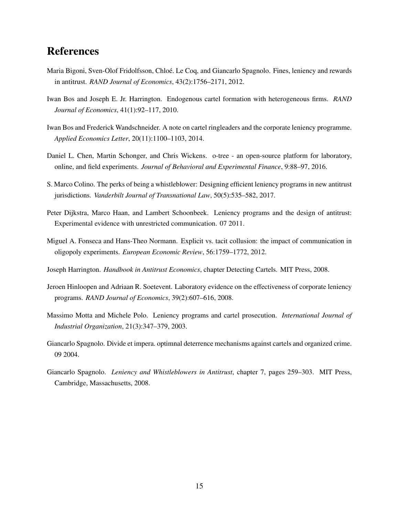# References

- Maria Bigoni, Sven-Olof Fridolfsson, Chloe. Le Coq, and Giancarlo Spagnolo. Fines, leniency and rewards ´ in antitrust. *RAND Journal of Economics*, 43(2):1756–2171, 2012.
- Iwan Bos and Joseph E. Jr. Harrington. Endogenous cartel formation with heterogeneous firms. *RAND Journal of Economics*, 41(1):92–117, 2010.
- Iwan Bos and Frederick Wandschneider. A note on cartel ringleaders and the corporate leniency programme. *Applied Economics Letter*, 20(11):1100–1103, 2014.
- Daniel L. Chen, Martin Schonger, and Chris Wickens. o-tree an open-source platform for laboratory, online, and field experiments. *Journal of Behavioral and Experimental Finance*, 9:88–97, 2016.
- S. Marco Colino. The perks of being a whistleblower: Designing efficient leniency programs in new antitrust jurisdictions. *Vanderbilt Journal of Transnational Law*, 50(5):535–582, 2017.
- Peter Dijkstra, Marco Haan, and Lambert Schoonbeek. Leniency programs and the design of antitrust: Experimental evidence with unrestricted communication. 07 2011.
- Miguel A. Fonseca and Hans-Theo Normann. Explicit vs. tacit collusion: the impact of communication in oligopoly experiments. *European Economic Review*, 56:1759–1772, 2012.
- Joseph Harrington. *Handbook in Antitrust Economics*, chapter Detecting Cartels. MIT Press, 2008.
- Jeroen Hinloopen and Adriaan R. Soetevent. Laboratory evidence on the effectiveness of corporate leniency programs. *RAND Journal of Economics*, 39(2):607–616, 2008.
- Massimo Motta and Michele Polo. Leniency programs and cartel prosecution. *International Journal of Industrial Organization*, 21(3):347–379, 2003.
- Giancarlo Spagnolo. Divide et impera. optimnal deterrence mechanisms against cartels and organized crime. 09 2004.
- Giancarlo Spagnolo. *Leniency and Whistleblowers in Antitrust*, chapter 7, pages 259–303. MIT Press, Cambridge, Massachusetts, 2008.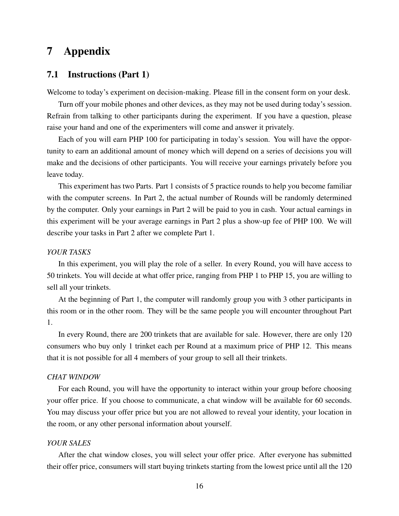# 7 Appendix

### 7.1 Instructions (Part 1)

Welcome to today's experiment on decision-making. Please fill in the consent form on your desk.

Turn off your mobile phones and other devices, as they may not be used during today's session. Refrain from talking to other participants during the experiment. If you have a question, please raise your hand and one of the experimenters will come and answer it privately.

Each of you will earn PHP 100 for participating in today's session. You will have the opportunity to earn an additional amount of money which will depend on a series of decisions you will make and the decisions of other participants. You will receive your earnings privately before you leave today.

This experiment has two Parts. Part 1 consists of 5 practice rounds to help you become familiar with the computer screens. In Part 2, the actual number of Rounds will be randomly determined by the computer. Only your earnings in Part 2 will be paid to you in cash. Your actual earnings in this experiment will be your average earnings in Part 2 plus a show-up fee of PHP 100. We will describe your tasks in Part 2 after we complete Part 1.

### *YOUR TASKS*

In this experiment, you will play the role of a seller. In every Round, you will have access to 50 trinkets. You will decide at what offer price, ranging from PHP 1 to PHP 15, you are willing to sell all your trinkets.

At the beginning of Part 1, the computer will randomly group you with 3 other participants in this room or in the other room. They will be the same people you will encounter throughout Part 1.

In every Round, there are 200 trinkets that are available for sale. However, there are only 120 consumers who buy only 1 trinket each per Round at a maximum price of PHP 12. This means that it is not possible for all 4 members of your group to sell all their trinkets.

#### *CHAT WINDOW*

For each Round, you will have the opportunity to interact within your group before choosing your offer price. If you choose to communicate, a chat window will be available for 60 seconds. You may discuss your offer price but you are not allowed to reveal your identity, your location in the room, or any other personal information about yourself.

#### *YOUR SALES*

After the chat window closes, you will select your offer price. After everyone has submitted their offer price, consumers will start buying trinkets starting from the lowest price until all the 120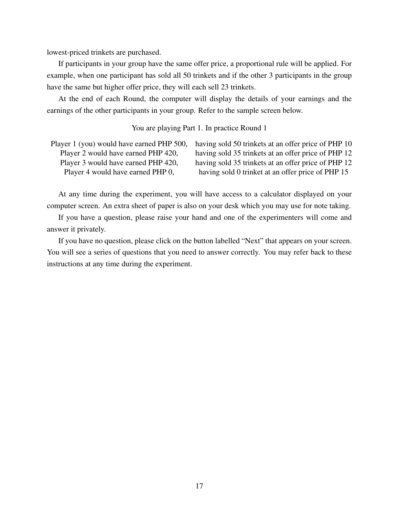lowest-priced trinkets are purchased.

If participants in your group have the same offer price, a proportional rule will be applied. For example, when one participant has sold all 50 trinkets and if the other 3 participants in the group have the same but higher offer price, they will each sell 23 trinkets.

At the end of each Round, the computer will display the details of your earnings and the earnings of the other participants in your group. Refer to the sample screen below.

You are playing Part 1. In practice Round 1

| Player 1 (you) would have earned PHP 500, | having sold 50 trinkets at an offer price of PHP 10 |
|-------------------------------------------|-----------------------------------------------------|
| Player 2 would have earned PHP 420,       | having sold 35 trinkets at an offer price of PHP 12 |
| Player 3 would have earned PHP 420,       | having sold 35 trinkets at an offer price of PHP 12 |
| Player 4 would have earned PHP 0,         | having sold 0 trinket at an offer price of PHP 15   |

At any time during the experiment, you will have access to a calculator displayed on your computer screen. An extra sheet of paper is also on your desk which you may use for note taking.

If you have a question, please raise your hand and one of the experimenters will come and answer it privately.

If you have no question, please click on the button labelled "Next" that appears on your screen. You will see a series of questions that you need to answer correctly. You may refer back to these instructions at any time during the experiment.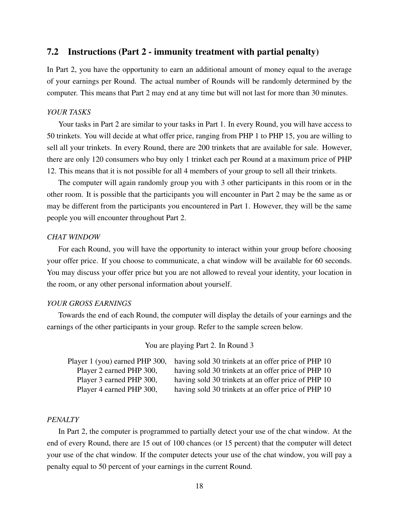### 7.2 Instructions (Part 2 - immunity treatment with partial penalty)

In Part 2, you have the opportunity to earn an additional amount of money equal to the average of your earnings per Round. The actual number of Rounds will be randomly determined by the computer. This means that Part 2 may end at any time but will not last for more than 30 minutes.

### *YOUR TASKS*

Your tasks in Part 2 are similar to your tasks in Part 1. In every Round, you will have access to 50 trinkets. You will decide at what offer price, ranging from PHP 1 to PHP 15, you are willing to sell all your trinkets. In every Round, there are 200 trinkets that are available for sale. However, there are only 120 consumers who buy only 1 trinket each per Round at a maximum price of PHP 12. This means that it is not possible for all 4 members of your group to sell all their trinkets.

The computer will again randomly group you with 3 other participants in this room or in the other room. It is possible that the participants you will encounter in Part 2 may be the same as or may be different from the participants you encountered in Part 1. However, they will be the same people you will encounter throughout Part 2.

#### *CHAT WINDOW*

For each Round, you will have the opportunity to interact within your group before choosing your offer price. If you choose to communicate, a chat window will be available for 60 seconds. You may discuss your offer price but you are not allowed to reveal your identity, your location in the room, or any other personal information about yourself.

### *YOUR GROSS EARNINGS*

Towards the end of each Round, the computer will display the details of your earnings and the earnings of the other participants in your group. Refer to the sample screen below.

### You are playing Part 2. In Round 3

|                          | Player 1 (you) earned PHP 300, having sold 30 trinkets at an offer price of PHP 10 |
|--------------------------|------------------------------------------------------------------------------------|
| Player 2 earned PHP 300, | having sold 30 trinkets at an offer price of PHP 10                                |
| Player 3 earned PHP 300, | having sold 30 trinkets at an offer price of PHP 10                                |
| Player 4 earned PHP 300, | having sold 30 trinkets at an offer price of PHP 10                                |

### *PENALTY*

In Part 2, the computer is programmed to partially detect your use of the chat window. At the end of every Round, there are 15 out of 100 chances (or 15 percent) that the computer will detect your use of the chat window. If the computer detects your use of the chat window, you will pay a penalty equal to 50 percent of your earnings in the current Round.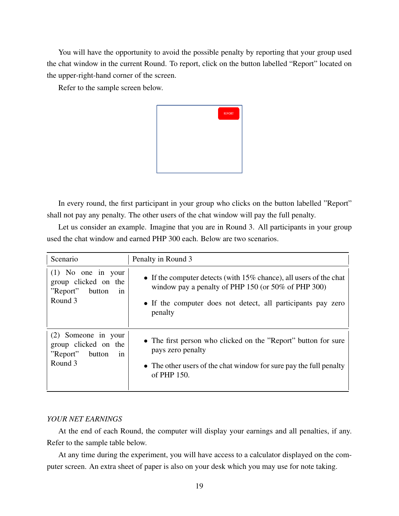You will have the opportunity to avoid the possible penalty by reporting that your group used the chat window in the current Round. To report, click on the button labelled "Report" located on the upper-right-hand corner of the screen.

Refer to the sample screen below.



In every round, the first participant in your group who clicks on the button labelled "Report" shall not pay any penalty. The other users of the chat window will pay the full penalty.

Let us consider an example. Imagine that you are in Round 3. All participants in your group used the chat window and earned PHP 300 each. Below are two scenarios.

| Scenario                                                                            | Penalty in Round 3                                                                                                                                                                                         |
|-------------------------------------------------------------------------------------|------------------------------------------------------------------------------------------------------------------------------------------------------------------------------------------------------------|
| $(1)$ No one in your<br>group clicked on the<br>"Report"<br>button<br>in<br>Round 3 | • If the computer detects (with $15\%$ chance), all users of the chat<br>window pay a penalty of PHP 150 (or $50\%$ of PHP 300)<br>• If the computer does not detect, all participants pay zero<br>penalty |
| (2) Someone in your<br>group clicked on the<br>"Report"<br>button<br>1n<br>Round 3  | • The first person who clicked on the "Report" button for sure<br>pays zero penalty<br>• The other users of the chat window for sure pay the full penalty<br>of PHP 150.                                   |

### *YOUR NET EARNINGS*

At the end of each Round, the computer will display your earnings and all penalties, if any. Refer to the sample table below.

At any time during the experiment, you will have access to a calculator displayed on the computer screen. An extra sheet of paper is also on your desk which you may use for note taking.